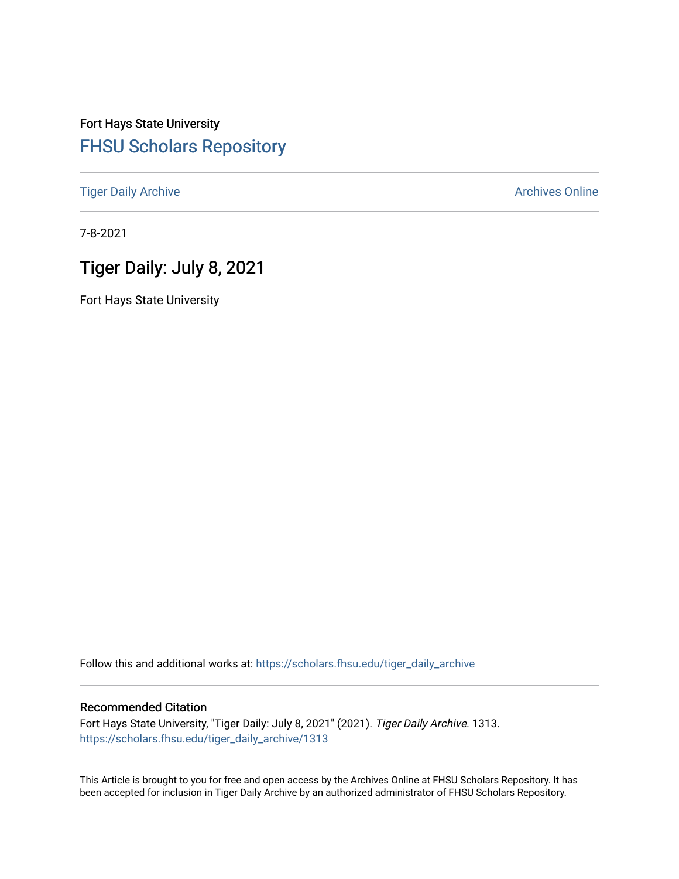# Fort Hays State University [FHSU Scholars Repository](https://scholars.fhsu.edu/)

[Tiger Daily Archive](https://scholars.fhsu.edu/tiger_daily_archive) **Archives** Online Archives Online

7-8-2021

# Tiger Daily: July 8, 2021

Fort Hays State University

Follow this and additional works at: [https://scholars.fhsu.edu/tiger\\_daily\\_archive](https://scholars.fhsu.edu/tiger_daily_archive?utm_source=scholars.fhsu.edu%2Ftiger_daily_archive%2F1313&utm_medium=PDF&utm_campaign=PDFCoverPages)

## Recommended Citation

Fort Hays State University, "Tiger Daily: July 8, 2021" (2021). Tiger Daily Archive. 1313. [https://scholars.fhsu.edu/tiger\\_daily\\_archive/1313](https://scholars.fhsu.edu/tiger_daily_archive/1313?utm_source=scholars.fhsu.edu%2Ftiger_daily_archive%2F1313&utm_medium=PDF&utm_campaign=PDFCoverPages)

This Article is brought to you for free and open access by the Archives Online at FHSU Scholars Repository. It has been accepted for inclusion in Tiger Daily Archive by an authorized administrator of FHSU Scholars Repository.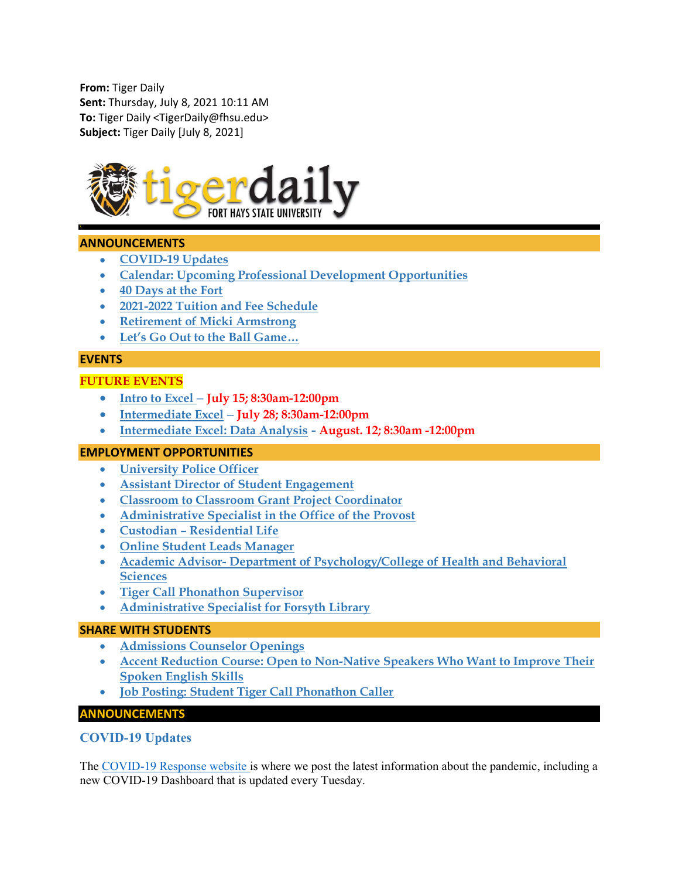From: Tiger Daily Sent: Thursday, July 8, 2021 10:11 AM To: Tiger Daily <TigerDaily@fhsu.edu> Subject: Tiger Daily [July 8, 2021]



#### ANNOUNCEMENTS

- COVID-19 Updates
- Calendar: Upcoming Professional Development Opportunities
- 40 Days at the Fort
- 2021-2022 Tuition and Fee Schedule
- Retirement of Micki Armstrong
- Let's Go Out to the Ball Game…

#### **EVENTS**

## FUTURE EVENTS

- Intro to Excel July 15; 8:30am-12:00pm
- Intermediate Excel July 28; 8:30am-12:00pm
- Intermediate Excel: Data Analysis August. 12; 8:30am -12:00pm

#### EMPLOYMENT OPPORTUNITIES

- University Police Officer
- Assistant Director of Student Engagement
- Classroom to Classroom Grant Project Coordinator
- Administrative Specialist in the Office of the Provost
- Custodian Residential Life
- Online Student Leads Manager
- Academic Advisor- Department of Psychology/College of Health and Behavioral **Sciences**
- Tiger Call Phonathon Supervisor
- Administrative Specialist for Forsyth Library

#### SHARE WITH STUDENTS

- Admissions Counselor Openings
- Accent Reduction Course: Open to Non-Native Speakers Who Want to Improve Their Spoken English Skills
- Job Posting: Student Tiger Call Phonathon Caller

#### ANNOUNCEMENTS

#### COVID-19 Updates

The COVID-19 Response website is where we post the latest information about the pandemic, including a new COVID-19 Dashboard that is updated every Tuesday.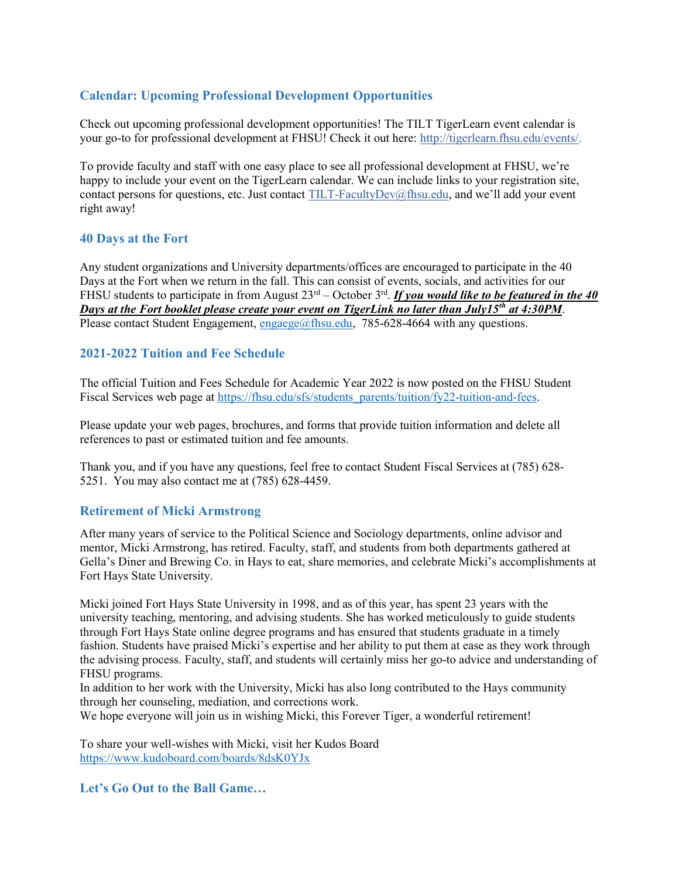# Calendar: Upcoming Professional Development Opportunities

Check out upcoming professional development opportunities! The TILT TigerLearn event calendar is your go-to for professional development at FHSU! Check it out here: http://tigerlearn.fhsu.edu/events/.

To provide faculty and staff with one easy place to see all professional development at FHSU, we're happy to include your event on the TigerLearn calendar. We can include links to your registration site, contact persons for questions, etc. Just contact TILT-FacultyDev@fhsu.edu, and we'll add your event right away!

## 40 Days at the Fort

Any student organizations and University departments/offices are encouraged to participate in the 40 Days at the Fort when we return in the fall. This can consist of events, socials, and activities for our FHSU students to participate in from August  $23<sup>rd</sup> - October 3<sup>rd</sup>$ . If you would like to be featured in the 40 Days at the Fort booklet please create your event on TigerLink no later than July15<sup>th</sup> at 4:30PM. Please contact Student Engagement,  $\frac{engase}{@f}$ fhsu.edu, 785-628-4664 with any questions.

## 2021-2022 Tuition and Fee Schedule

The official Tuition and Fees Schedule for Academic Year 2022 is now posted on the FHSU Student Fiscal Services web page at https://fhsu.edu/sfs/students\_parents/tuition/fy22-tuition-and-fees.

Please update your web pages, brochures, and forms that provide tuition information and delete all references to past or estimated tuition and fee amounts.

Thank you, and if you have any questions, feel free to contact Student Fiscal Services at (785) 628- 5251. You may also contact me at (785) 628-4459.

#### Retirement of Micki Armstrong

After many years of service to the Political Science and Sociology departments, online advisor and mentor, Micki Armstrong, has retired. Faculty, staff, and students from both departments gathered at Gella's Diner and Brewing Co. in Hays to eat, share memories, and celebrate Micki's accomplishments at Fort Hays State University.

Micki joined Fort Hays State University in 1998, and as of this year, has spent 23 years with the university teaching, mentoring, and advising students. She has worked meticulously to guide students through Fort Hays State online degree programs and has ensured that students graduate in a timely fashion. Students have praised Micki's expertise and her ability to put them at ease as they work through the advising process. Faculty, staff, and students will certainly miss her go-to advice and understanding of FHSU programs.

In addition to her work with the University, Micki has also long contributed to the Hays community through her counseling, mediation, and corrections work.

We hope everyone will join us in wishing Micki, this Forever Tiger, a wonderful retirement!

To share your well-wishes with Micki, visit her Kudos Board https://www.kudoboard.com/boards/8dsK0YJx

Let's Go Out to the Ball Game…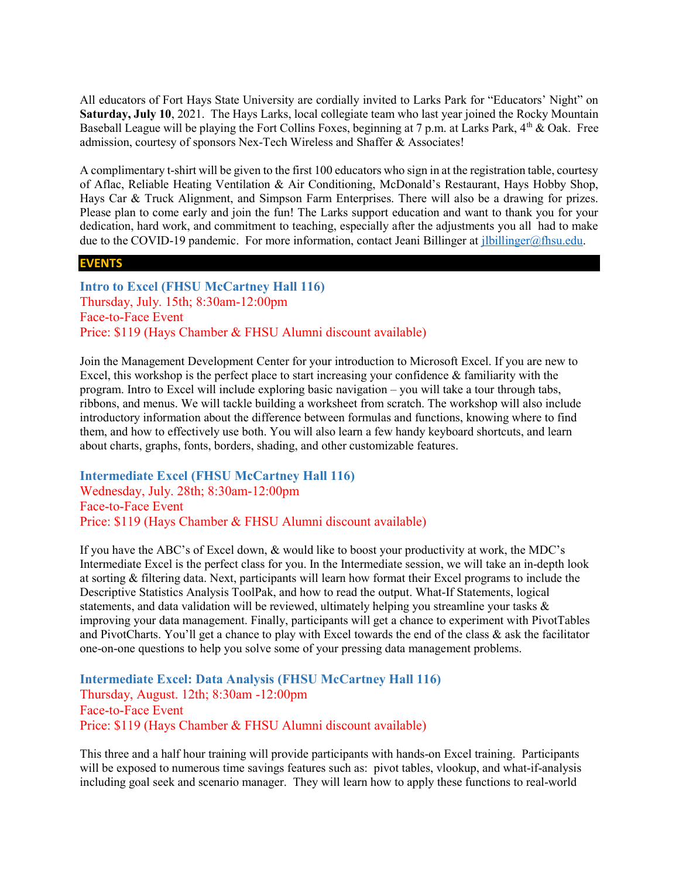All educators of Fort Hays State University are cordially invited to Larks Park for "Educators' Night" on Saturday, July 10, 2021. The Hays Larks, local collegiate team who last year joined the Rocky Mountain Baseball League will be playing the Fort Collins Foxes, beginning at 7 p.m. at Larks Park, 4<sup>th</sup> & Oak. Free admission, courtesy of sponsors Nex-Tech Wireless and Shaffer & Associates!

A complimentary t-shirt will be given to the first 100 educators who sign in at the registration table, courtesy of Aflac, Reliable Heating Ventilation & Air Conditioning, McDonald's Restaurant, Hays Hobby Shop, Hays Car & Truck Alignment, and Simpson Farm Enterprises. There will also be a drawing for prizes. Please plan to come early and join the fun! The Larks support education and want to thank you for your dedication, hard work, and commitment to teaching, especially after the adjustments you all had to make due to the COVID-19 pandemic. For more information, contact Jeani Billinger at *ilbillinger@fhsu.edu.* 

#### EVENTS

Intro to Excel (FHSU McCartney Hall 116) Thursday, July. 15th; 8:30am-12:00pm Face-to-Face Event Price: \$119 (Hays Chamber & FHSU Alumni discount available)

Join the Management Development Center for your introduction to Microsoft Excel. If you are new to Excel, this workshop is the perfect place to start increasing your confidence  $\&$  familiarity with the program. Intro to Excel will include exploring basic navigation – you will take a tour through tabs, ribbons, and menus. We will tackle building a worksheet from scratch. The workshop will also include introductory information about the difference between formulas and functions, knowing where to find them, and how to effectively use both. You will also learn a few handy keyboard shortcuts, and learn about charts, graphs, fonts, borders, shading, and other customizable features.

Intermediate Excel (FHSU McCartney Hall 116) Wednesday, July. 28th; 8:30am-12:00pm Face-to-Face Event Price: \$119 (Hays Chamber & FHSU Alumni discount available)

If you have the ABC's of Excel down, & would like to boost your productivity at work, the MDC's Intermediate Excel is the perfect class for you. In the Intermediate session, we will take an in-depth look at sorting & filtering data. Next, participants will learn how format their Excel programs to include the Descriptive Statistics Analysis ToolPak, and how to read the output. What-If Statements, logical statements, and data validation will be reviewed, ultimately helping you streamline your tasks  $\&$ improving your data management. Finally, participants will get a chance to experiment with PivotTables and PivotCharts. You'll get a chance to play with Excel towards the end of the class & ask the facilitator one-on-one questions to help you solve some of your pressing data management problems.

Intermediate Excel: Data Analysis (FHSU McCartney Hall 116) Thursday, August. 12th; 8:30am -12:00pm Face-to-Face Event Price: \$119 (Hays Chamber & FHSU Alumni discount available)

This three and a half hour training will provide participants with hands-on Excel training. Participants will be exposed to numerous time savings features such as: pivot tables, vlookup, and what-if-analysis including goal seek and scenario manager. They will learn how to apply these functions to real-world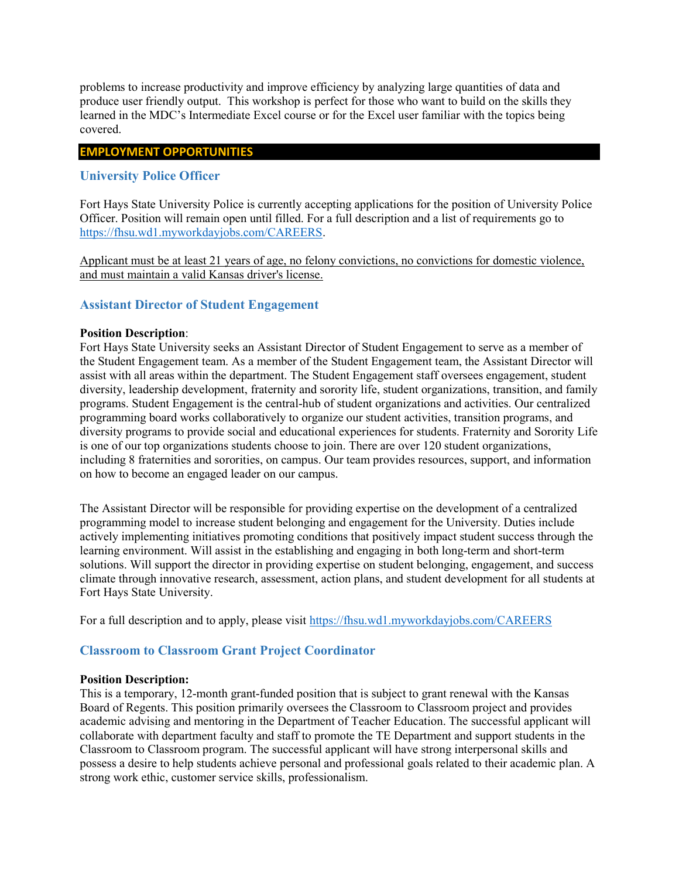problems to increase productivity and improve efficiency by analyzing large quantities of data and produce user friendly output. This workshop is perfect for those who want to build on the skills they learned in the MDC's Intermediate Excel course or for the Excel user familiar with the topics being covered.

## EMPLOYMENT OPPORTUNITIES

## University Police Officer

Fort Hays State University Police is currently accepting applications for the position of University Police Officer. Position will remain open until filled. For a full description and a list of requirements go to https://fhsu.wd1.myworkdayjobs.com/CAREERS.

Applicant must be at least 21 years of age, no felony convictions, no convictions for domestic violence, and must maintain a valid Kansas driver's license.

## Assistant Director of Student Engagement

#### Position Description:

Fort Hays State University seeks an Assistant Director of Student Engagement to serve as a member of the Student Engagement team. As a member of the Student Engagement team, the Assistant Director will assist with all areas within the department. The Student Engagement staff oversees engagement, student diversity, leadership development, fraternity and sorority life, student organizations, transition, and family programs. Student Engagement is the central-hub of student organizations and activities. Our centralized programming board works collaboratively to organize our student activities, transition programs, and diversity programs to provide social and educational experiences for students. Fraternity and Sorority Life is one of our top organizations students choose to join. There are over 120 student organizations, including 8 fraternities and sororities, on campus. Our team provides resources, support, and information on how to become an engaged leader on our campus.

The Assistant Director will be responsible for providing expertise on the development of a centralized programming model to increase student belonging and engagement for the University. Duties include actively implementing initiatives promoting conditions that positively impact student success through the learning environment. Will assist in the establishing and engaging in both long-term and short-term solutions. Will support the director in providing expertise on student belonging, engagement, and success climate through innovative research, assessment, action plans, and student development for all students at Fort Hays State University.

For a full description and to apply, please visit https://fhsu.wd1.myworkdayjobs.com/CAREERS

## Classroom to Classroom Grant Project Coordinator

#### Position Description:

This is a temporary, 12-month grant-funded position that is subject to grant renewal with the Kansas Board of Regents. This position primarily oversees the Classroom to Classroom project and provides academic advising and mentoring in the Department of Teacher Education. The successful applicant will collaborate with department faculty and staff to promote the TE Department and support students in the Classroom to Classroom program. The successful applicant will have strong interpersonal skills and possess a desire to help students achieve personal and professional goals related to their academic plan. A strong work ethic, customer service skills, professionalism.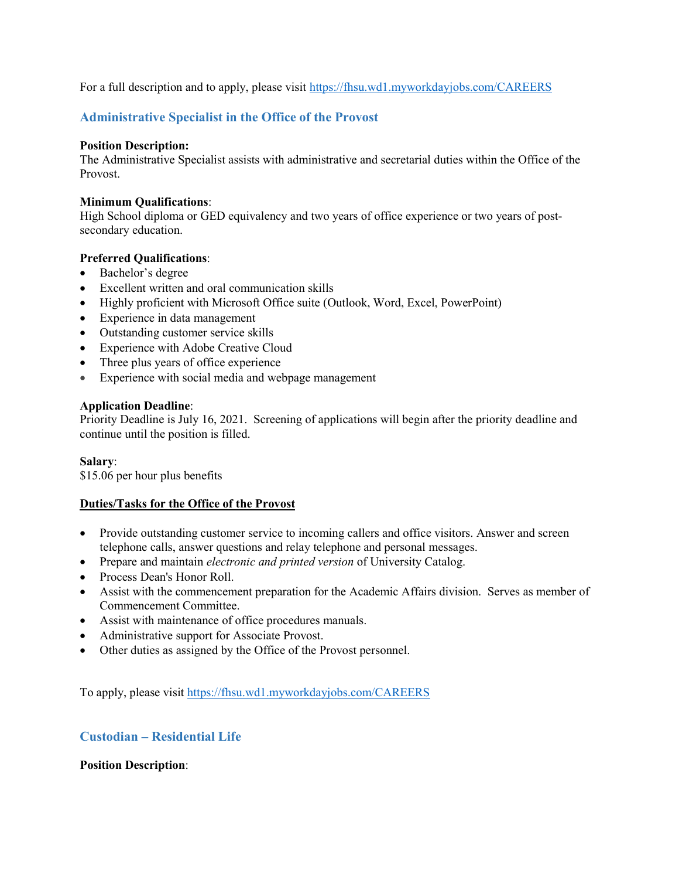For a full description and to apply, please visit https://fhsu.wd1.myworkdayjobs.com/CAREERS

## Administrative Specialist in the Office of the Provost

#### Position Description:

The Administrative Specialist assists with administrative and secretarial duties within the Office of the Provost.

#### Minimum Qualifications:

High School diploma or GED equivalency and two years of office experience or two years of postsecondary education.

#### Preferred Qualifications:

- Bachelor's degree
- Excellent written and oral communication skills
- Highly proficient with Microsoft Office suite (Outlook, Word, Excel, PowerPoint)
- Experience in data management
- Outstanding customer service skills
- Experience with Adobe Creative Cloud
- Three plus years of office experience
- Experience with social media and webpage management

#### Application Deadline:

Priority Deadline is July 16, 2021. Screening of applications will begin after the priority deadline and continue until the position is filled.

#### Salary:

\$15.06 per hour plus benefits

#### Duties/Tasks for the Office of the Provost

- Provide outstanding customer service to incoming callers and office visitors. Answer and screen telephone calls, answer questions and relay telephone and personal messages.
- Prepare and maintain *electronic and printed version* of University Catalog.
- Process Dean's Honor Roll.
- Assist with the commencement preparation for the Academic Affairs division. Serves as member of Commencement Committee.
- Assist with maintenance of office procedures manuals.
- Administrative support for Associate Provost.
- Other duties as assigned by the Office of the Provost personnel.

To apply, please visit https://fhsu.wd1.myworkdayjobs.com/CAREERS

## Custodian – Residential Life

Position Description: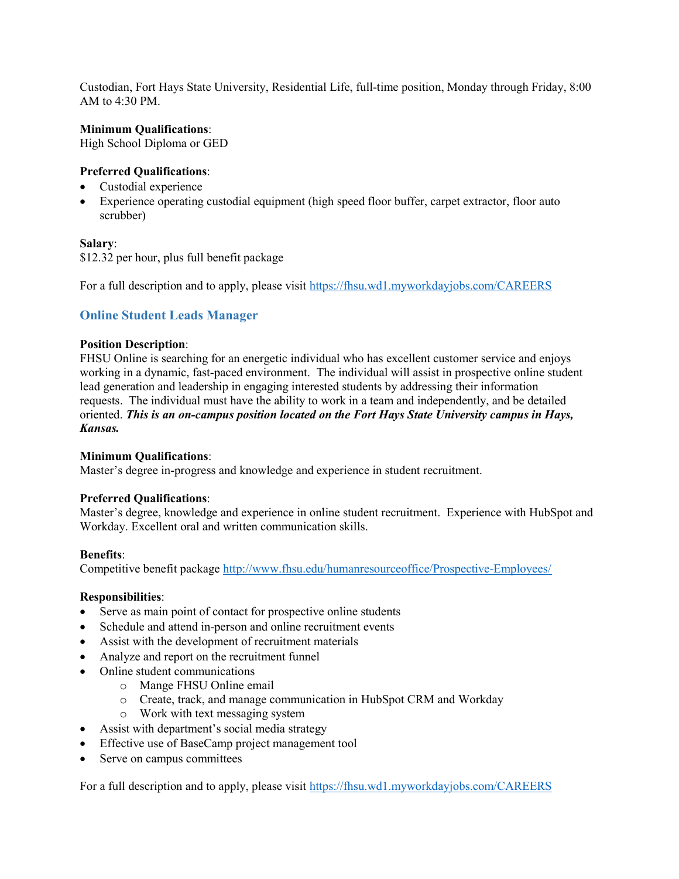Custodian, Fort Hays State University, Residential Life, full-time position, Monday through Friday, 8:00 AM to  $4:30$  PM.

#### Minimum Qualifications:

High School Diploma or GED

#### Preferred Qualifications:

- Custodial experience
- Experience operating custodial equipment (high speed floor buffer, carpet extractor, floor auto scrubber)

#### Salary:

\$12.32 per hour, plus full benefit package

For a full description and to apply, please visit https://fhsu.wd1.myworkdayjobs.com/CAREERS

## Online Student Leads Manager

#### Position Description:

FHSU Online is searching for an energetic individual who has excellent customer service and enjoys working in a dynamic, fast-paced environment. The individual will assist in prospective online student lead generation and leadership in engaging interested students by addressing their information requests. The individual must have the ability to work in a team and independently, and be detailed oriented. This is an on-campus position located on the Fort Hays State University campus in Hays, Kansas.

#### Minimum Qualifications:

Master's degree in-progress and knowledge and experience in student recruitment.

#### Preferred Qualifications:

Master's degree, knowledge and experience in online student recruitment. Experience with HubSpot and Workday. Excellent oral and written communication skills.

#### Benefits:

Competitive benefit package http://www.fhsu.edu/humanresourceoffice/Prospective-Employees/

#### Responsibilities:

- Serve as main point of contact for prospective online students
- Schedule and attend in-person and online recruitment events
- Assist with the development of recruitment materials
- Analyze and report on the recruitment funnel
- Online student communications
	- o Mange FHSU Online email
	- o Create, track, and manage communication in HubSpot CRM and Workday
	- o Work with text messaging system
- Assist with department's social media strategy
- Effective use of BaseCamp project management tool
- Serve on campus committees

For a full description and to apply, please visit https://fhsu.wd1.myworkdayjobs.com/CAREERS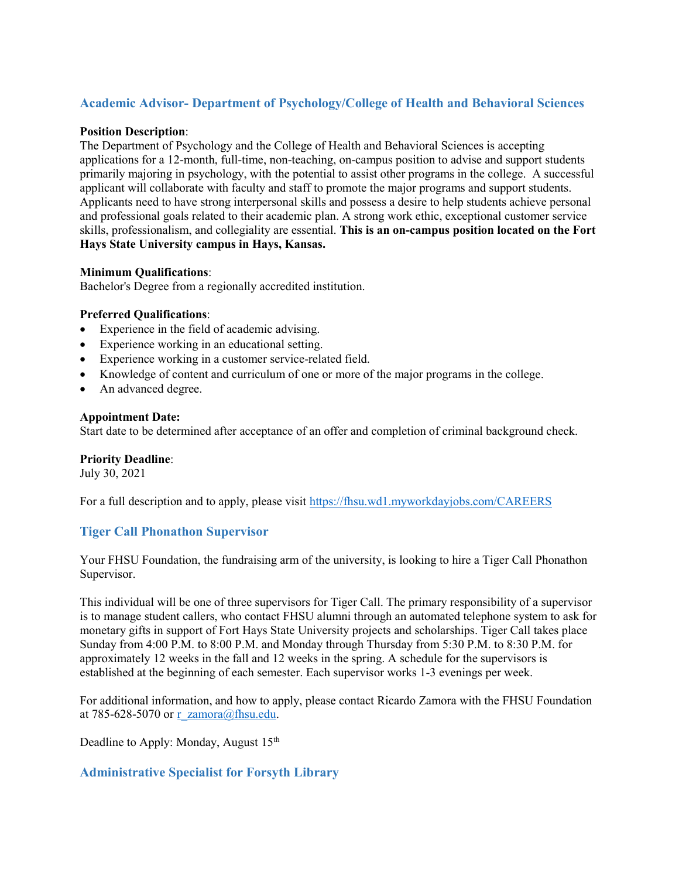# Academic Advisor- Department of Psychology/College of Health and Behavioral Sciences

#### Position Description:

The Department of Psychology and the College of Health and Behavioral Sciences is accepting applications for a 12-month, full-time, non-teaching, on-campus position to advise and support students primarily majoring in psychology, with the potential to assist other programs in the college. A successful applicant will collaborate with faculty and staff to promote the major programs and support students. Applicants need to have strong interpersonal skills and possess a desire to help students achieve personal and professional goals related to their academic plan. A strong work ethic, exceptional customer service skills, professionalism, and collegiality are essential. This is an on-campus position located on the Fort Hays State University campus in Hays, Kansas.

## Minimum Qualifications:

Bachelor's Degree from a regionally accredited institution.

## Preferred Qualifications:

- Experience in the field of academic advising.
- Experience working in an educational setting.
- Experience working in a customer service-related field.
- Knowledge of content and curriculum of one or more of the major programs in the college.
- An advanced degree.

#### Appointment Date:

Start date to be determined after acceptance of an offer and completion of criminal background check.

#### Priority Deadline:

July 30, 2021

For a full description and to apply, please visit https://fhsu.wd1.myworkdayjobs.com/CAREERS

## Tiger Call Phonathon Supervisor

Your FHSU Foundation, the fundraising arm of the university, is looking to hire a Tiger Call Phonathon Supervisor.

This individual will be one of three supervisors for Tiger Call. The primary responsibility of a supervisor is to manage student callers, who contact FHSU alumni through an automated telephone system to ask for monetary gifts in support of Fort Hays State University projects and scholarships. Tiger Call takes place Sunday from 4:00 P.M. to 8:00 P.M. and Monday through Thursday from 5:30 P.M. to 8:30 P.M. for approximately 12 weeks in the fall and 12 weeks in the spring. A schedule for the supervisors is established at the beginning of each semester. Each supervisor works 1-3 evenings per week.

For additional information, and how to apply, please contact Ricardo Zamora with the FHSU Foundation at 785-628-5070 or r\_zamora@fhsu.edu.

Deadline to Apply: Monday, August 15<sup>th</sup>

## Administrative Specialist for Forsyth Library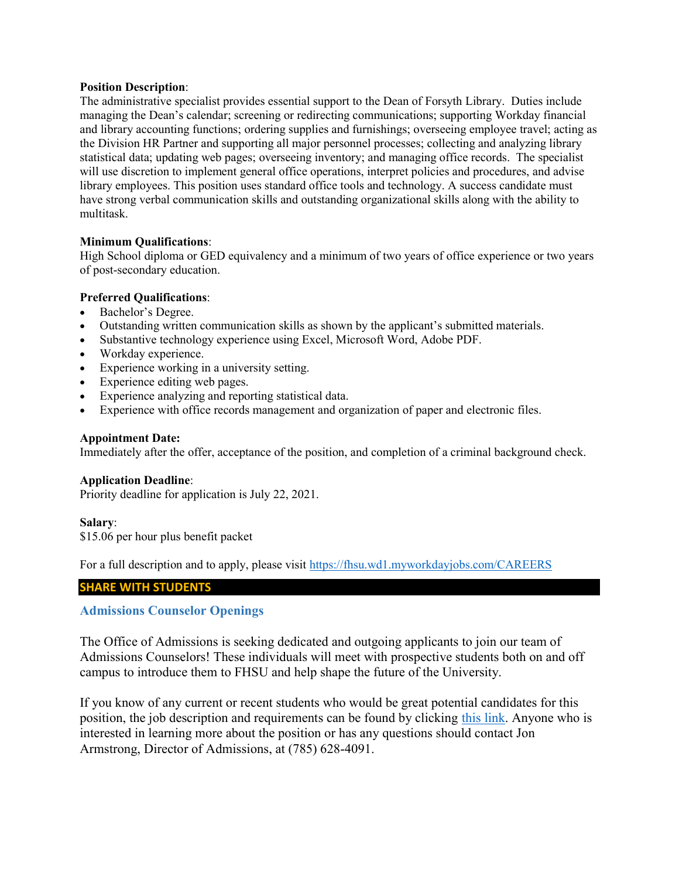#### Position Description:

The administrative specialist provides essential support to the Dean of Forsyth Library. Duties include managing the Dean's calendar; screening or redirecting communications; supporting Workday financial and library accounting functions; ordering supplies and furnishings; overseeing employee travel; acting as the Division HR Partner and supporting all major personnel processes; collecting and analyzing library statistical data; updating web pages; overseeing inventory; and managing office records. The specialist will use discretion to implement general office operations, interpret policies and procedures, and advise library employees. This position uses standard office tools and technology. A success candidate must have strong verbal communication skills and outstanding organizational skills along with the ability to multitask.

#### Minimum Qualifications:

High School diploma or GED equivalency and a minimum of two years of office experience or two years of post-secondary education.

## Preferred Qualifications:

- Bachelor's Degree.
- Outstanding written communication skills as shown by the applicant's submitted materials.
- Substantive technology experience using Excel, Microsoft Word, Adobe PDF.
- Workday experience.
- Experience working in a university setting.
- Experience editing web pages.
- Experience analyzing and reporting statistical data.
- Experience with office records management and organization of paper and electronic files.

#### Appointment Date:

Immediately after the offer, acceptance of the position, and completion of a criminal background check.

#### Application Deadline:

Priority deadline for application is July 22, 2021.

#### Salary:

\$15.06 per hour plus benefit packet

For a full description and to apply, please visit https://fhsu.wd1.myworkdayjobs.com/CAREERS

#### SHARE WITH STUDENTS

## Admissions Counselor Openings

The Office of Admissions is seeking dedicated and outgoing applicants to join our team of Admissions Counselors! These individuals will meet with prospective students both on and off campus to introduce them to FHSU and help shape the future of the University.

If you know of any current or recent students who would be great potential candidates for this position, the job description and requirements can be found by clicking this link. Anyone who is interested in learning more about the position or has any questions should contact Jon Armstrong, Director of Admissions, at (785) 628-4091.